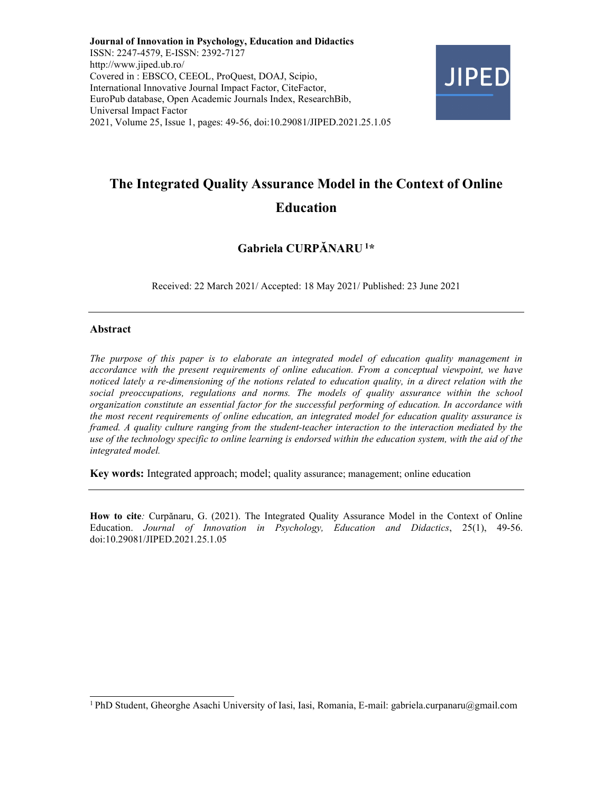Journal of Innovation in Psychology, Education and Didactics ISSN: 2247-4579, E-ISSN: 2392-7127 http://www.jiped.ub.ro/ Covered in : EBSCO, CEEOL, ProQuest, DOAJ, Scipio, International Innovative Journal Impact Factor, CiteFactor, EuroPub database, Open Academic Journals Index, ResearchBib, Universal Impact Factor 2021, Volume 25, Issue 1, pages: 49-56, doi:10.29081/JIPED.2021.25.1.05



# The Integrated Quality Assurance Model in the Context of Online Education

# Gabriela CURPĂNARU<sup>1</sup>\*

Received: 22 March 2021/ Accepted: 18 May 2021/ Published: 23 June 2021

### Abstract

The purpose of this paper is to elaborate an integrated model of education quality management in accordance with the present requirements of online education. From a conceptual viewpoint, we have noticed lately a re-dimensioning of the notions related to education quality, in a direct relation with the social preoccupations, regulations and norms. The models of quality assurance within the school organization constitute an essential factor for the successful performing of education. In accordance with the most recent requirements of online education, an integrated model for education quality assurance is framed. A quality culture ranging from the student-teacher interaction to the interaction mediated by the use of the technology specific to online learning is endorsed within the education system, with the aid of the integrated model.

Key words: Integrated approach; model; quality assurance; management; online education

How to cite: Curpănaru, G. (2021). The Integrated Quality Assurance Model in the Context of Online Education. Journal of Innovation in Psychology, Education and Didactics, 25(1), 49-56. doi:10.29081/JIPED.2021.25.1.05

<sup>&</sup>lt;sup>1</sup> PhD Student, Gheorghe Asachi University of Iasi, Iasi, Romania, E-mail: gabriela.curpanaru@gmail.com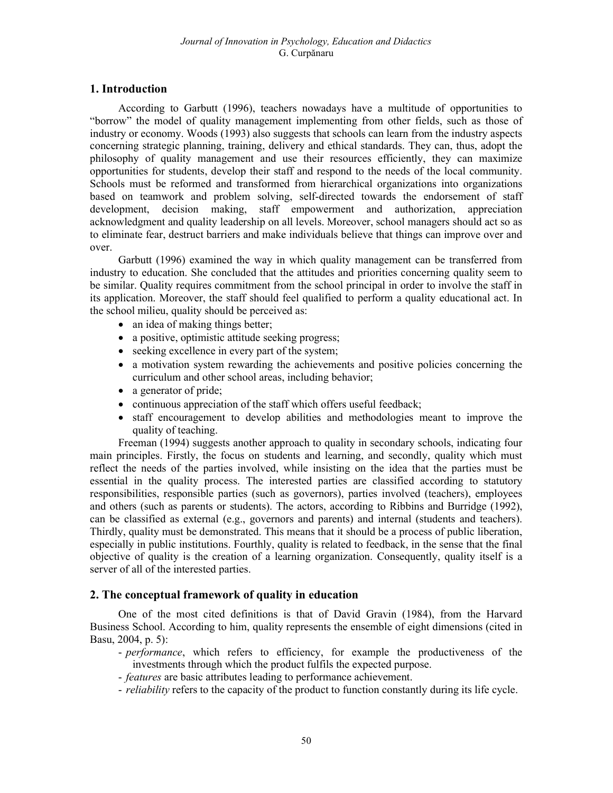# 1. Introduction

According to Garbutt (1996), teachers nowadays have a multitude of opportunities to "borrow" the model of quality management implementing from other fields, such as those of industry or economy. Woods (1993) also suggests that schools can learn from the industry aspects concerning strategic planning, training, delivery and ethical standards. They can, thus, adopt the philosophy of quality management and use their resources efficiently, they can maximize opportunities for students, develop their staff and respond to the needs of the local community. Schools must be reformed and transformed from hierarchical organizations into organizations based on teamwork and problem solving, self-directed towards the endorsement of staff development, decision making, staff empowerment and authorization, appreciation acknowledgment and quality leadership on all levels. Moreover, school managers should act so as to eliminate fear, destruct barriers and make individuals believe that things can improve over and over.

Garbutt (1996) examined the way in which quality management can be transferred from industry to education. She concluded that the attitudes and priorities concerning quality seem to be similar. Quality requires commitment from the school principal in order to involve the staff in its application. Moreover, the staff should feel qualified to perform a quality educational act. In the school milieu, quality should be perceived as:

- an idea of making things better;
- a positive, optimistic attitude seeking progress;
- seeking excellence in every part of the system;
- a motivation system rewarding the achievements and positive policies concerning the curriculum and other school areas, including behavior;
- a generator of pride;
- continuous appreciation of the staff which offers useful feedback;
- staff encouragement to develop abilities and methodologies meant to improve the quality of teaching.

Freeman (1994) suggests another approach to quality in secondary schools, indicating four main principles. Firstly, the focus on students and learning, and secondly, quality which must reflect the needs of the parties involved, while insisting on the idea that the parties must be essential in the quality process. The interested parties are classified according to statutory responsibilities, responsible parties (such as governors), parties involved (teachers), employees and others (such as parents or students). The actors, according to Ribbins and Burridge (1992), can be classified as external (e.g., governors and parents) and internal (students and teachers). Thirdly, quality must be demonstrated. This means that it should be a process of public liberation, especially in public institutions. Fourthly, quality is related to feedback, in the sense that the final objective of quality is the creation of a learning organization. Consequently, quality itself is a server of all of the interested parties.

## 2. The conceptual framework of quality in education

One of the most cited definitions is that of David Gravin (1984), from the Harvard Business School. According to him, quality represents the ensemble of eight dimensions (cited in Basu, 2004, p. 5):

- *performance*, which refers to efficiency, for example the productiveness of the investments through which the product fulfils the expected purpose.
- *features* are basic attributes leading to performance achievement.
- *reliability* refers to the capacity of the product to function constantly during its life cycle.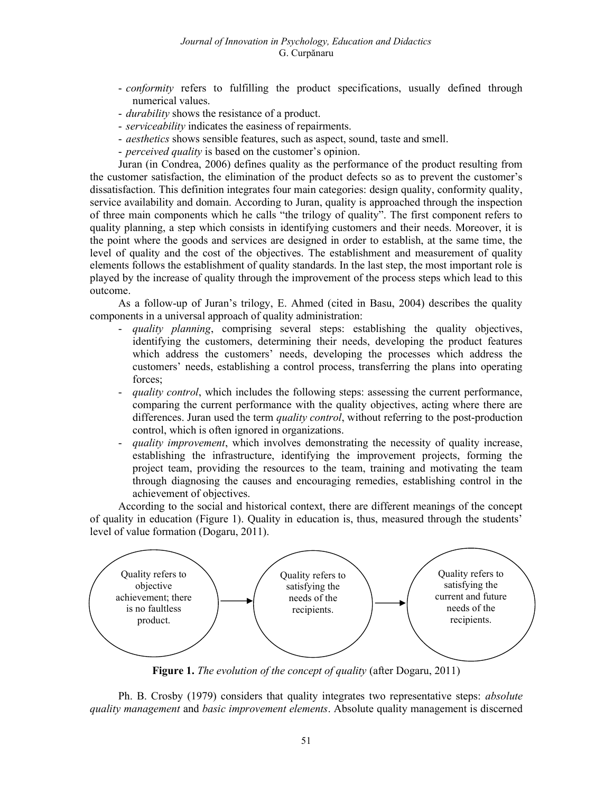- conformity refers to fulfilling the product specifications, usually defined through numerical values.
- *durability* shows the resistance of a product.
- serviceability indicates the easiness of repairments.
- *aesthetics* shows sensible features, such as aspect, sound, taste and smell.
- *perceived quality* is based on the customer's opinion.

Juran (in Condrea, 2006) defines quality as the performance of the product resulting from the customer satisfaction, the elimination of the product defects so as to prevent the customer's dissatisfaction. This definition integrates four main categories: design quality, conformity quality, service availability and domain. According to Juran, quality is approached through the inspection of three main components which he calls "the trilogy of quality". The first component refers to quality planning, a step which consists in identifying customers and their needs. Moreover, it is the point where the goods and services are designed in order to establish, at the same time, the level of quality and the cost of the objectives. The establishment and measurement of quality elements follows the establishment of quality standards. In the last step, the most important role is played by the increase of quality through the improvement of the process steps which lead to this outcome.

As a follow-up of Juran's trilogy, E. Ahmed (cited in Basu, 2004) describes the quality components in a universal approach of quality administration:

- quality planning, comprising several steps: establishing the quality objectives, identifying the customers, determining their needs, developing the product features which address the customers' needs, developing the processes which address the customers' needs, establishing a control process, transferring the plans into operating forces;
- quality control, which includes the following steps: assessing the current performance, comparing the current performance with the quality objectives, acting where there are differences. Juran used the term *quality control*, without referring to the post-production control, which is often ignored in organizations.
- quality improvement, which involves demonstrating the necessity of quality increase, establishing the infrastructure, identifying the improvement projects, forming the project team, providing the resources to the team, training and motivating the team through diagnosing the causes and encouraging remedies, establishing control in the achievement of objectives.

According to the social and historical context, there are different meanings of the concept of quality in education (Figure 1). Quality in education is, thus, measured through the students' level of value formation (Dogaru, 2011).



Figure 1. The evolution of the concept of quality (after Dogaru, 2011)

Ph. B. Crosby (1979) considers that quality integrates two representative steps: *absolute* quality management and basic improvement elements. Absolute quality management is discerned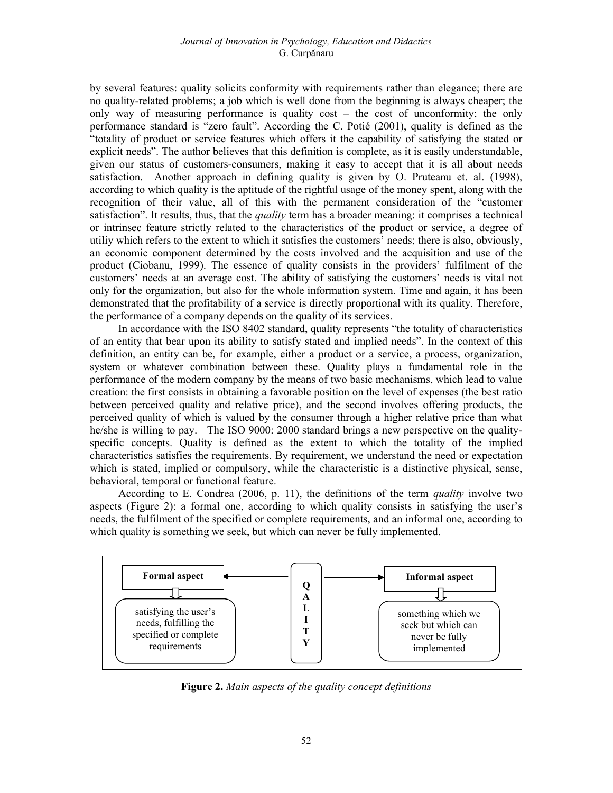by several features: quality solicits conformity with requirements rather than elegance; there are no quality-related problems; a job which is well done from the beginning is always cheaper; the only way of measuring performance is quality cost – the cost of unconformity; the only performance standard is "zero fault". According the C. Potié (2001), quality is defined as the "totality of product or service features which offers it the capability of satisfying the stated or explicit needs". The author believes that this definition is complete, as it is easily understandable, given our status of customers-consumers, making it easy to accept that it is all about needs satisfaction. Another approach in defining quality is given by O. Pruteanu et. al. (1998), according to which quality is the aptitude of the rightful usage of the money spent, along with the recognition of their value, all of this with the permanent consideration of the "customer satisfaction". It results, thus, that the *quality* term has a broader meaning: it comprises a technical or intrinsec feature strictly related to the characteristics of the product or service, a degree of utiliy which refers to the extent to which it satisfies the customers' needs; there is also, obviously, an economic component determined by the costs involved and the acquisition and use of the product (Ciobanu, 1999). The essence of quality consists in the providers' fulfilment of the customers' needs at an average cost. The ability of satisfying the customers' needs is vital not only for the organization, but also for the whole information system. Time and again, it has been demonstrated that the profitability of a service is directly proportional with its quality. Therefore, the performance of a company depends on the quality of its services.

In accordance with the ISO 8402 standard, quality represents "the totality of characteristics of an entity that bear upon its ability to satisfy stated and implied needs". In the context of this definition, an entity can be, for example, either a product or a service, a process, organization, system or whatever combination between these. Quality plays a fundamental role in the performance of the modern company by the means of two basic mechanisms, which lead to value creation: the first consists in obtaining a favorable position on the level of expenses (the best ratio between perceived quality and relative price), and the second involves offering products, the perceived quality of which is valued by the consumer through a higher relative price than what he/she is willing to pay. The ISO 9000: 2000 standard brings a new perspective on the qualityspecific concepts. Quality is defined as the extent to which the totality of the implied characteristics satisfies the requirements. By requirement, we understand the need or expectation which is stated, implied or compulsory, while the characteristic is a distinctive physical, sense, behavioral, temporal or functional feature.

According to E. Condrea (2006, p. 11), the definitions of the term *quality* involve two aspects (Figure 2): a formal one, according to which quality consists in satisfying the user's needs, the fulfilment of the specified or complete requirements, and an informal one, according to which quality is something we seek, but which can never be fully implemented.



Figure 2. Main aspects of the quality concept definitions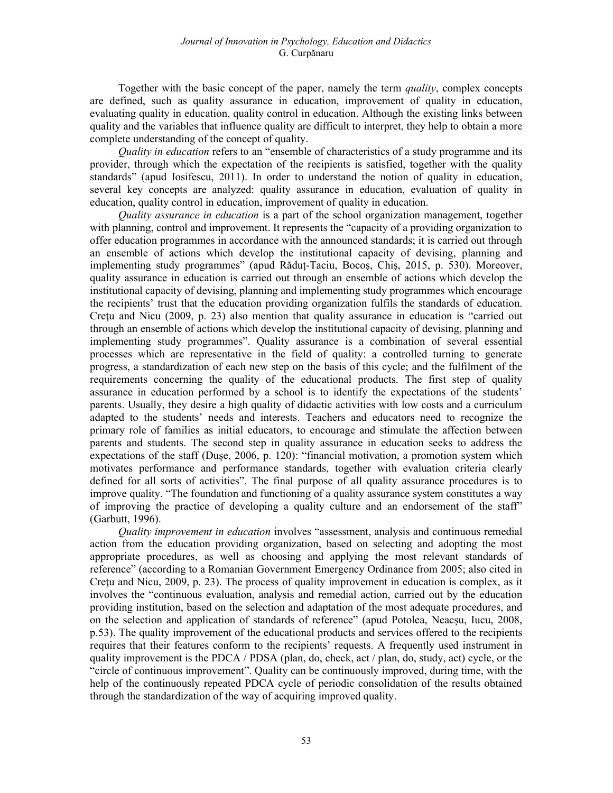Together with the basic concept of the paper, namely the term *quality*, complex concepts are defined, such as quality assurance in education, improvement of quality in education, evaluating quality in education, quality control in education. Although the existing links between quality and the variables that influence quality are difficult to interpret, they help to obtain a more complete understanding of the concept of quality.

*Quality in education* refers to an "ensemble of characteristics of a study programme and its provider, through which the expectation of the recipients is satisfied, together with the quality standards" (apud Iosifescu, 2011). In order to understand the notion of quality in education, several key concepts are analyzed: quality assurance in education, evaluation of quality in education, quality control in education, improvement of quality in education.

Quality assurance in education is a part of the school organization management, together with planning, control and improvement. It represents the "capacity of a providing organization to offer education programmes in accordance with the announced standards; it is carried out through an ensemble of actions which develop the institutional capacity of devising, planning and implementing study programmes" (apud Răduț-Taciu, Bocoș, Chiș, 2015, p. 530). Moreover, quality assurance in education is carried out through an ensemble of actions which develop the institutional capacity of devising, planning and implementing study programmes which encourage the recipients' trust that the education providing organization fulfils the standards of education. Creţu and Nicu (2009, p. 23) also mention that quality assurance in education is "carried out through an ensemble of actions which develop the institutional capacity of devising, planning and implementing study programmes". Quality assurance is a combination of several essential processes which are representative in the field of quality: a controlled turning to generate progress, a standardization of each new step on the basis of this cycle; and the fulfilment of the requirements concerning the quality of the educational products. The first step of quality assurance in education performed by a school is to identify the expectations of the students' parents. Usually, they desire a high quality of didactic activities with low costs and a curriculum adapted to the students' needs and interests. Teachers and educators need to recognize the primary role of families as initial educators, to encourage and stimulate the affection between parents and students. The second step in quality assurance in education seeks to address the expectations of the staff (Dușe, 2006, p. 120): "financial motivation, a promotion system which motivates performance and performance standards, together with evaluation criteria clearly defined for all sorts of activities". The final purpose of all quality assurance procedures is to improve quality. "The foundation and functioning of a quality assurance system constitutes a way of improving the practice of developing a quality culture and an endorsement of the staff" (Garbutt, 1996).

Quality improvement in education involves "assessment, analysis and continuous remedial action from the education providing organization, based on selecting and adopting the most appropriate procedures, as well as choosing and applying the most relevant standards of reference" (according to a Romanian Government Emergency Ordinance from 2005; also cited in Creţu and Nicu, 2009, p. 23). The process of quality improvement in education is complex, as it involves the "continuous evaluation, analysis and remedial action, carried out by the education providing institution, based on the selection and adaptation of the most adequate procedures, and on the selection and application of standards of reference" (apud Potolea, Neacșu, Iucu, 2008, p.53). The quality improvement of the educational products and services offered to the recipients requires that their features conform to the recipients' requests. A frequently used instrument in quality improvement is the PDCA / PDSA (plan, do, check, act / plan, do, study, act) cycle, or the "circle of continuous improvement". Quality can be continuously improved, during time, with the help of the continuously repeated PDCA cycle of periodic consolidation of the results obtained through the standardization of the way of acquiring improved quality.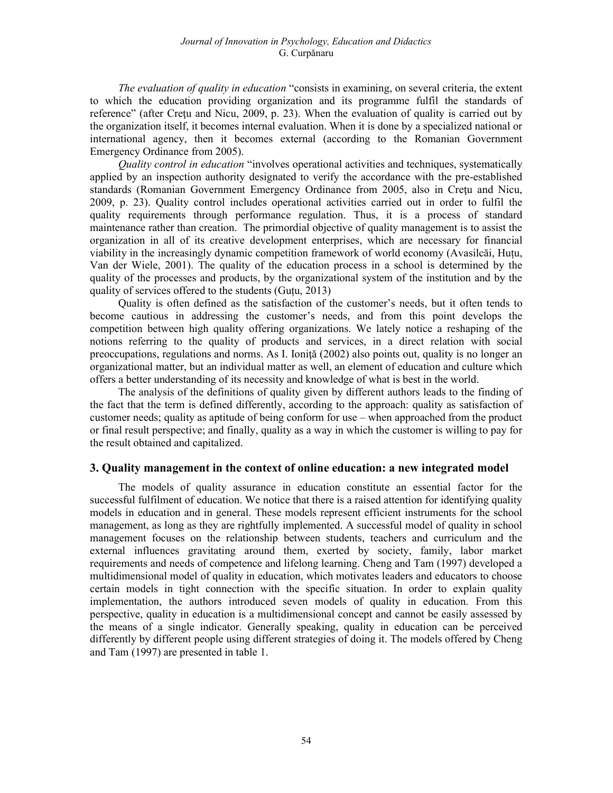The evaluation of quality in education "consists in examining, on several criteria, the extent to which the education providing organization and its programme fulfil the standards of reference" (after Cretu and Nicu, 2009, p. 23). When the evaluation of quality is carried out by the organization itself, it becomes internal evaluation. When it is done by a specialized national or international agency, then it becomes external (according to the Romanian Government Emergency Ordinance from 2005).

Quality control in education "involves operational activities and techniques, systematically applied by an inspection authority designated to verify the accordance with the pre-established standards (Romanian Government Emergency Ordinance from 2005, also in Cretu and Nicu, 2009, p. 23). Quality control includes operational activities carried out in order to fulfil the quality requirements through performance regulation. Thus, it is a process of standard maintenance rather than creation. The primordial objective of quality management is to assist the organization in all of its creative development enterprises, which are necessary for financial viability in the increasingly dynamic competition framework of world economy (Avasilcăi, Huțu, Van der Wiele, 2001). The quality of the education process in a school is determined by the quality of the processes and products, by the organizational system of the institution and by the quality of services offered to the students (Guțu, 2013)

Quality is often defined as the satisfaction of the customer's needs, but it often tends to become cautious in addressing the customer's needs, and from this point develops the competition between high quality offering organizations. We lately notice a reshaping of the notions referring to the quality of products and services, in a direct relation with social preoccupations, regulations and norms. As I. Ionită (2002) also points out, quality is no longer an organizational matter, but an individual matter as well, an element of education and culture which offers a better understanding of its necessity and knowledge of what is best in the world.

The analysis of the definitions of quality given by different authors leads to the finding of the fact that the term is defined differently, according to the approach: quality as satisfaction of customer needs; quality as aptitude of being conform for use – when approached from the product or final result perspective; and finally, quality as a way in which the customer is willing to pay for the result obtained and capitalized.

#### 3. Quality management in the context of online education: a new integrated model

The models of quality assurance in education constitute an essential factor for the successful fulfilment of education. We notice that there is a raised attention for identifying quality models in education and in general. These models represent efficient instruments for the school management, as long as they are rightfully implemented. A successful model of quality in school management focuses on the relationship between students, teachers and curriculum and the external influences gravitating around them, exerted by society, family, labor market requirements and needs of competence and lifelong learning. Cheng and Tam (1997) developed a multidimensional model of quality in education, which motivates leaders and educators to choose certain models in tight connection with the specific situation. In order to explain quality implementation, the authors introduced seven models of quality in education. From this perspective, quality in education is a multidimensional concept and cannot be easily assessed by the means of a single indicator. Generally speaking, quality in education can be perceived differently by different people using different strategies of doing it. The models offered by Cheng and Tam (1997) are presented in table 1.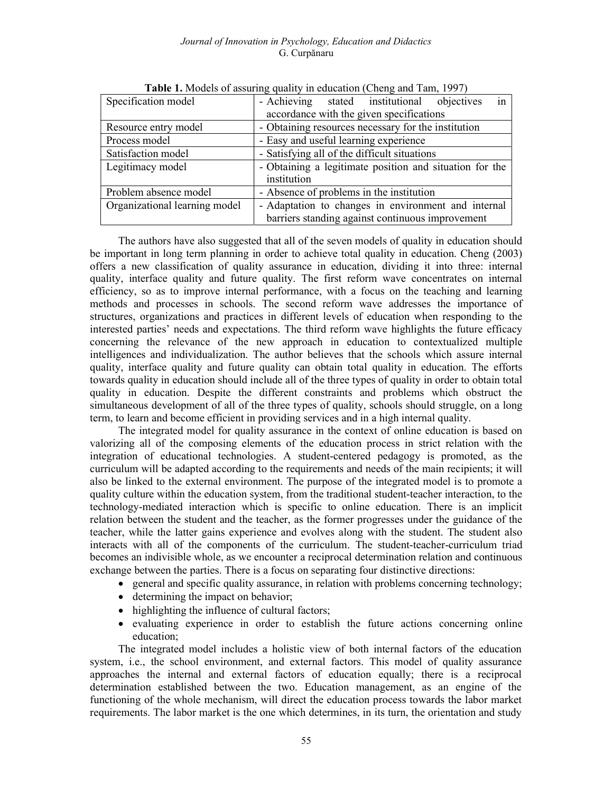#### Journal of Innovation in Psychology, Education and Didactics G. Curpănaru

| Specification model           | in<br>- Achieving stated institutional objectives       |  |  |  |  |
|-------------------------------|---------------------------------------------------------|--|--|--|--|
|                               | accordance with the given specifications                |  |  |  |  |
| Resource entry model          | - Obtaining resources necessary for the institution     |  |  |  |  |
| Process model                 | - Easy and useful learning experience                   |  |  |  |  |
| Satisfaction model            | - Satisfying all of the difficult situations            |  |  |  |  |
| Legitimacy model              | - Obtaining a legitimate position and situation for the |  |  |  |  |
|                               | institution                                             |  |  |  |  |
| Problem absence model         | - Absence of problems in the institution                |  |  |  |  |
| Organizational learning model | - Adaptation to changes in environment and internal     |  |  |  |  |
|                               | barriers standing against continuous improvement        |  |  |  |  |

| Table 1. Models of assuring quality in education (Cheng and Tam, 1997) |  |  |  |
|------------------------------------------------------------------------|--|--|--|
|                                                                        |  |  |  |

The authors have also suggested that all of the seven models of quality in education should be important in long term planning in order to achieve total quality in education. Cheng (2003) offers a new classification of quality assurance in education, dividing it into three: internal quality, interface quality and future quality. The first reform wave concentrates on internal efficiency, so as to improve internal performance, with a focus on the teaching and learning methods and processes in schools. The second reform wave addresses the importance of structures, organizations and practices in different levels of education when responding to the interested parties' needs and expectations. The third reform wave highlights the future efficacy concerning the relevance of the new approach in education to contextualized multiple intelligences and individualization. The author believes that the schools which assure internal quality, interface quality and future quality can obtain total quality in education. The efforts towards quality in education should include all of the three types of quality in order to obtain total quality in education. Despite the different constraints and problems which obstruct the simultaneous development of all of the three types of quality, schools should struggle, on a long term, to learn and become efficient in providing services and in a high internal quality.

The integrated model for quality assurance in the context of online education is based on valorizing all of the composing elements of the education process in strict relation with the integration of educational technologies. A student-centered pedagogy is promoted, as the curriculum will be adapted according to the requirements and needs of the main recipients; it will also be linked to the external environment. The purpose of the integrated model is to promote a quality culture within the education system, from the traditional student-teacher interaction, to the technology-mediated interaction which is specific to online education. There is an implicit relation between the student and the teacher, as the former progresses under the guidance of the teacher, while the latter gains experience and evolves along with the student. The student also interacts with all of the components of the curriculum. The student-teacher-curriculum triad becomes an indivisible whole, as we encounter a reciprocal determination relation and continuous exchange between the parties. There is a focus on separating four distinctive directions:

- general and specific quality assurance, in relation with problems concerning technology;
- determining the impact on behavior;
- highlighting the influence of cultural factors;
- evaluating experience in order to establish the future actions concerning online education;

The integrated model includes a holistic view of both internal factors of the education system, i.e., the school environment, and external factors. This model of quality assurance approaches the internal and external factors of education equally; there is a reciprocal determination established between the two. Education management, as an engine of the functioning of the whole mechanism, will direct the education process towards the labor market requirements. The labor market is the one which determines, in its turn, the orientation and study